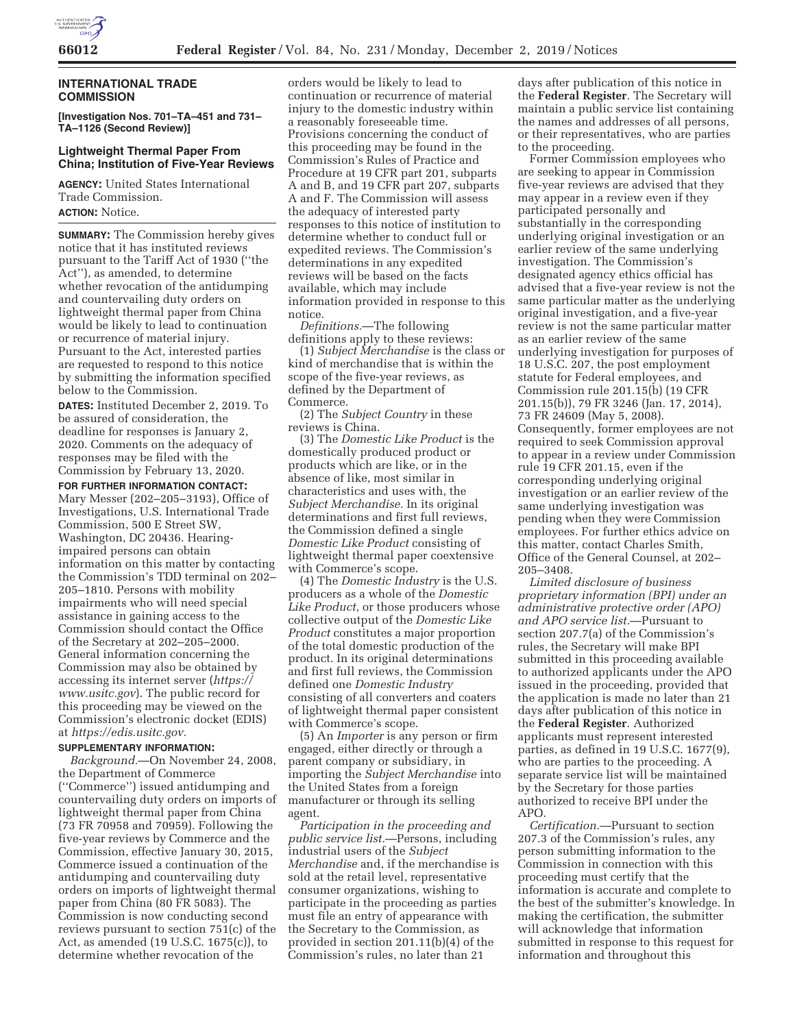

## **INTERNATIONAL TRADE COMMISSION**

**[Investigation Nos. 701–TA–451 and 731– TA–1126 (Second Review)]** 

## **Lightweight Thermal Paper From China; Institution of Five-Year Reviews**

**AGENCY:** United States International Trade Commission. **ACTION:** Notice.

**SUMMARY:** The Commission hereby gives notice that it has instituted reviews pursuant to the Tariff Act of 1930 (''the Act''), as amended, to determine whether revocation of the antidumping and countervailing duty orders on lightweight thermal paper from China would be likely to lead to continuation or recurrence of material injury. Pursuant to the Act, interested parties are requested to respond to this notice by submitting the information specified below to the Commission.

**DATES:** Instituted December 2, 2019. To be assured of consideration, the deadline for responses is January 2, 2020. Comments on the adequacy of responses may be filed with the Commission by February 13, 2020.

**FOR FURTHER INFORMATION CONTACT:** 

Mary Messer (202–205–3193), Office of Investigations, U.S. International Trade Commission, 500 E Street SW, Washington, DC 20436. Hearingimpaired persons can obtain information on this matter by contacting the Commission's TDD terminal on 202– 205–1810. Persons with mobility impairments who will need special assistance in gaining access to the Commission should contact the Office of the Secretary at 202–205–2000. General information concerning the Commission may also be obtained by accessing its internet server (*https:// www.usitc.gov*). The public record for this proceeding may be viewed on the Commission's electronic docket (EDIS) at *https://edis.usitc.gov.* 

### **SUPPLEMENTARY INFORMATION:**

*Background.*—On November 24, 2008, the Department of Commerce (''Commerce'') issued antidumping and countervailing duty orders on imports of lightweight thermal paper from China (73 FR 70958 and 70959). Following the five-year reviews by Commerce and the Commission, effective January 30, 2015, Commerce issued a continuation of the antidumping and countervailing duty orders on imports of lightweight thermal paper from China (80 FR 5083). The Commission is now conducting second reviews pursuant to section 751(c) of the Act, as amended (19 U.S.C. 1675(c)), to determine whether revocation of the

orders would be likely to lead to continuation or recurrence of material injury to the domestic industry within a reasonably foreseeable time. Provisions concerning the conduct of this proceeding may be found in the Commission's Rules of Practice and Procedure at 19 CFR part 201, subparts A and B, and 19 CFR part 207, subparts A and F. The Commission will assess the adequacy of interested party responses to this notice of institution to determine whether to conduct full or expedited reviews. The Commission's determinations in any expedited reviews will be based on the facts available, which may include information provided in response to this notice.

*Definitions.*—The following definitions apply to these reviews:

(1) *Subject Merchandise* is the class or kind of merchandise that is within the scope of the five-year reviews, as defined by the Department of Commerce.

(2) The *Subject Country* in these reviews is China.

(3) The *Domestic Like Product* is the domestically produced product or products which are like, or in the absence of like, most similar in characteristics and uses with, the *Subject Merchandise.* In its original determinations and first full reviews, the Commission defined a single *Domestic Like Product* consisting of lightweight thermal paper coextensive with Commerce's scope.

(4) The *Domestic Industry* is the U.S. producers as a whole of the *Domestic Like Product,* or those producers whose collective output of the *Domestic Like Product* constitutes a major proportion of the total domestic production of the product. In its original determinations and first full reviews, the Commission defined one *Domestic Industry*  consisting of all converters and coaters of lightweight thermal paper consistent with Commerce's scope.

(5) An *Importer* is any person or firm engaged, either directly or through a parent company or subsidiary, in importing the *Subject Merchandise* into the United States from a foreign manufacturer or through its selling agent.

*Participation in the proceeding and public service list.*—Persons, including industrial users of the *Subject Merchandise* and, if the merchandise is sold at the retail level, representative consumer organizations, wishing to participate in the proceeding as parties must file an entry of appearance with the Secretary to the Commission, as provided in section 201.11(b)(4) of the Commission's rules, no later than 21

days after publication of this notice in the **Federal Register**. The Secretary will maintain a public service list containing the names and addresses of all persons, or their representatives, who are parties to the proceeding.

Former Commission employees who are seeking to appear in Commission five-year reviews are advised that they may appear in a review even if they participated personally and substantially in the corresponding underlying original investigation or an earlier review of the same underlying investigation. The Commission's designated agency ethics official has advised that a five-year review is not the same particular matter as the underlying original investigation, and a five-year review is not the same particular matter as an earlier review of the same underlying investigation for purposes of 18 U.S.C. 207, the post employment statute for Federal employees, and Commission rule 201.15(b) (19 CFR 201.15(b)), 79 FR 3246 (Jan. 17, 2014), 73 FR 24609 (May 5, 2008). Consequently, former employees are not required to seek Commission approval to appear in a review under Commission rule 19 CFR 201.15, even if the corresponding underlying original investigation or an earlier review of the same underlying investigation was pending when they were Commission employees. For further ethics advice on this matter, contact Charles Smith, Office of the General Counsel, at 202– 205–3408.

*Limited disclosure of business proprietary information (BPI) under an administrative protective order (APO) and APO service list.*—Pursuant to section 207.7(a) of the Commission's rules, the Secretary will make BPI submitted in this proceeding available to authorized applicants under the APO issued in the proceeding, provided that the application is made no later than 21 days after publication of this notice in the **Federal Register**. Authorized applicants must represent interested parties, as defined in 19 U.S.C. 1677(9), who are parties to the proceeding. A separate service list will be maintained by the Secretary for those parties authorized to receive BPI under the APO.

*Certification.*—Pursuant to section 207.3 of the Commission's rules, any person submitting information to the Commission in connection with this proceeding must certify that the information is accurate and complete to the best of the submitter's knowledge. In making the certification, the submitter will acknowledge that information submitted in response to this request for information and throughout this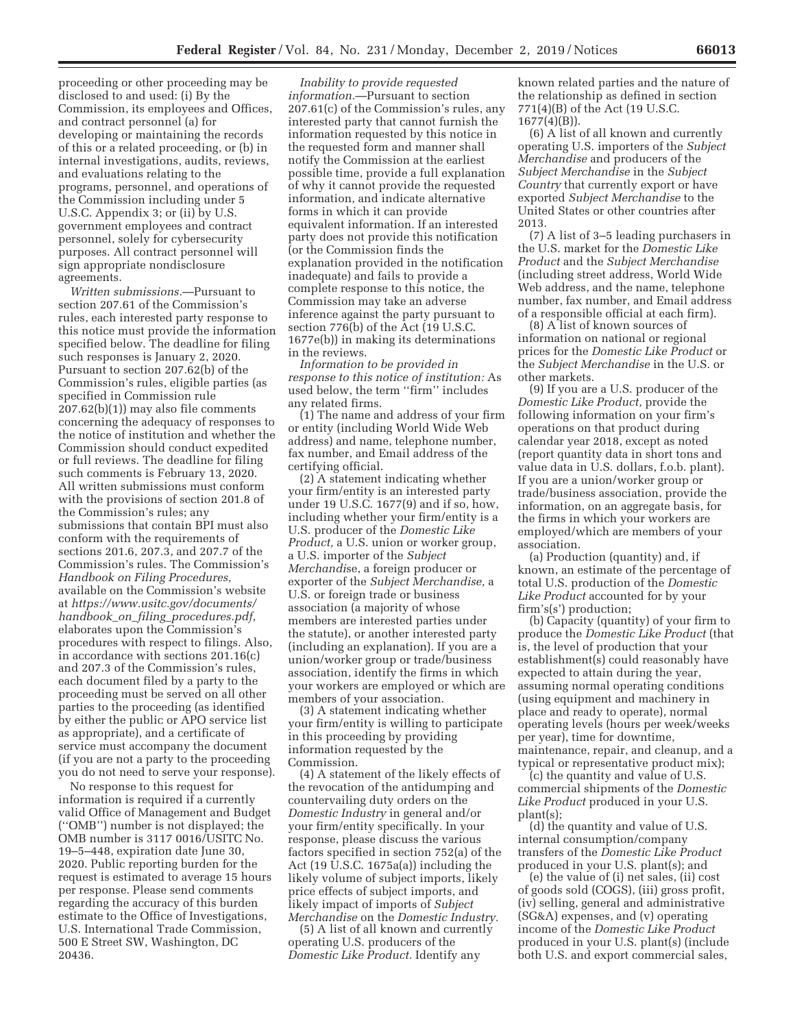proceeding or other proceeding may be disclosed to and used: (i) By the Commission, its employees and Offices, and contract personnel (a) for developing or maintaining the records of this or a related proceeding, or (b) in internal investigations, audits, reviews, and evaluations relating to the programs, personnel, and operations of the Commission including under 5 U.S.C. Appendix 3; or (ii) by U.S. government employees and contract personnel, solely for cybersecurity purposes. All contract personnel will sign appropriate nondisclosure agreements.

*Written submissions.*—Pursuant to section 207.61 of the Commission's rules, each interested party response to this notice must provide the information specified below. The deadline for filing such responses is January 2, 2020. Pursuant to section 207.62(b) of the Commission's rules, eligible parties (as specified in Commission rule 207.62(b)(1)) may also file comments concerning the adequacy of responses to the notice of institution and whether the Commission should conduct expedited or full reviews. The deadline for filing such comments is February 13, 2020. All written submissions must conform with the provisions of section 201.8 of the Commission's rules; any submissions that contain BPI must also conform with the requirements of sections 201.6, 207.3, and 207.7 of the Commission's rules. The Commission's *Handbook on Filing Procedures,*  available on the Commission's website at *https://www.usitc.gov/documents/ handbook*\_*on*\_*filing*\_*procedures.pdf,*  elaborates upon the Commission's procedures with respect to filings. Also, in accordance with sections 201.16(c) and 207.3 of the Commission's rules, each document filed by a party to the proceeding must be served on all other parties to the proceeding (as identified by either the public or APO service list as appropriate), and a certificate of service must accompany the document (if you are not a party to the proceeding you do not need to serve your response).

No response to this request for information is required if a currently valid Office of Management and Budget (''OMB'') number is not displayed; the OMB number is 3117 0016/USITC No. 19–5–448, expiration date June 30, 2020. Public reporting burden for the request is estimated to average 15 hours per response. Please send comments regarding the accuracy of this burden estimate to the Office of Investigations, U.S. International Trade Commission, 500 E Street SW, Washington, DC 20436.

*Inability to provide requested information.*—Pursuant to section 207.61(c) of the Commission's rules, any interested party that cannot furnish the information requested by this notice in the requested form and manner shall notify the Commission at the earliest possible time, provide a full explanation of why it cannot provide the requested information, and indicate alternative forms in which it can provide equivalent information. If an interested party does not provide this notification (or the Commission finds the explanation provided in the notification inadequate) and fails to provide a complete response to this notice, the Commission may take an adverse inference against the party pursuant to section 776(b) of the Act (19 U.S.C. 1677e(b)) in making its determinations in the reviews.

*Information to be provided in response to this notice of institution:* As used below, the term ''firm'' includes any related firms.

(1) The name and address of your firm or entity (including World Wide Web address) and name, telephone number, fax number, and Email address of the certifying official.

(2) A statement indicating whether your firm/entity is an interested party under 19 U.S.C. 1677(9) and if so, how, including whether your firm/entity is a U.S. producer of the *Domestic Like Product,* a U.S. union or worker group, a U.S. importer of the *Subject Merchandi*se, a foreign producer or exporter of the *Subject Merchandise,* a U.S. or foreign trade or business association (a majority of whose members are interested parties under the statute), or another interested party (including an explanation). If you are a union/worker group or trade/business association, identify the firms in which your workers are employed or which are members of your association.

(3) A statement indicating whether your firm/entity is willing to participate in this proceeding by providing information requested by the Commission.

(4) A statement of the likely effects of the revocation of the antidumping and countervailing duty orders on the *Domestic Industry* in general and/or your firm/entity specifically. In your response, please discuss the various factors specified in section 752(a) of the Act (19 U.S.C. 1675a(a)) including the likely volume of subject imports, likely price effects of subject imports, and likely impact of imports of *Subject Merchandise* on the *Domestic Industry.* 

(5) A list of all known and currently operating U.S. producers of the *Domestic Like Product.* Identify any

known related parties and the nature of the relationship as defined in section 771(4)(B) of the Act (19 U.S.C. 1677(4)(B)).

(6) A list of all known and currently operating U.S. importers of the *Subject Merchandise* and producers of the *Subject Merchandise* in the *Subject Country* that currently export or have exported *Subject Merchandise* to the United States or other countries after 2013.

(7) A list of 3–5 leading purchasers in the U.S. market for the *Domestic Like Product* and the *Subject Merchandise*  (including street address, World Wide Web address, and the name, telephone number, fax number, and Email address of a responsible official at each firm).

(8) A list of known sources of information on national or regional prices for the *Domestic Like Product* or the *Subject Merchandise* in the U.S. or other markets.

(9) If you are a U.S. producer of the *Domestic Like Product,* provide the following information on your firm's operations on that product during calendar year 2018, except as noted (report quantity data in short tons and value data in U.S. dollars, f.o.b. plant). If you are a union/worker group or trade/business association, provide the information, on an aggregate basis, for the firms in which your workers are employed/which are members of your association.

(a) Production (quantity) and, if known, an estimate of the percentage of total U.S. production of the *Domestic Like Product* accounted for by your firm's(s') production;

(b) Capacity (quantity) of your firm to produce the *Domestic Like Product* (that is, the level of production that your establishment(s) could reasonably have expected to attain during the year, assuming normal operating conditions (using equipment and machinery in place and ready to operate), normal operating levels (hours per week/weeks per year), time for downtime, maintenance, repair, and cleanup, and a typical or representative product mix);

(c) the quantity and value of U.S. commercial shipments of the *Domestic Like Product* produced in your U.S. plant(s);

(d) the quantity and value of U.S. internal consumption/company transfers of the *Domestic Like Product*  produced in your U.S. plant(s); and

(e) the value of (i) net sales, (ii) cost of goods sold (COGS), (iii) gross profit, (iv) selling, general and administrative (SG&A) expenses, and (v) operating income of the *Domestic Like Product*  produced in your U.S. plant(s) (include both U.S. and export commercial sales,